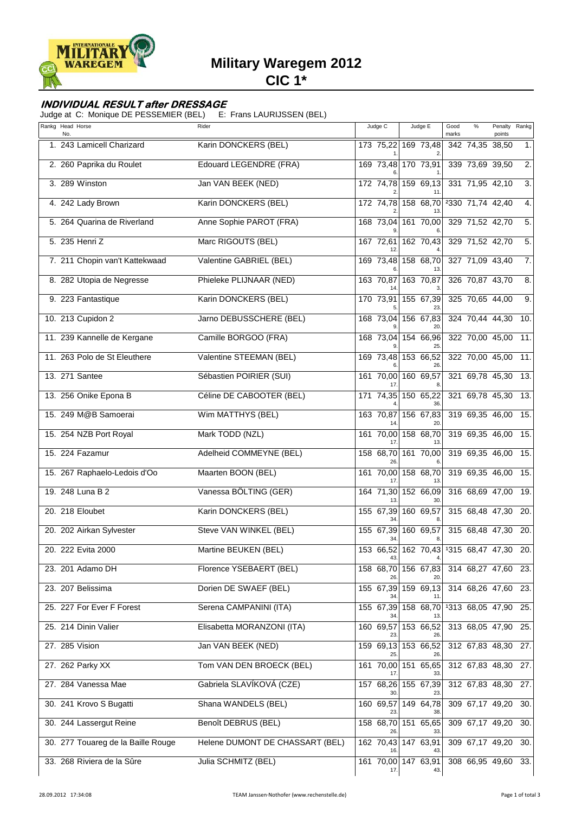

# **Military Waregem 2012**

**CIC 1\***

### **INDIVIDUAL RESULT after DRESSAGE**

Judge at C: Monique DE PESSEMIER (BEL) E: Frans LAURIJSSEN (BEL)

| Rankg Head Horse<br>No.            | Rider                           | Judge C          | Judge E                                  | Good<br>marks | %               | Penalty<br>points   | Rankg            |
|------------------------------------|---------------------------------|------------------|------------------------------------------|---------------|-----------------|---------------------|------------------|
| 1. 243 Lamicell Charizard          | Karin DONCKERS (BEL)            |                  | 173 75,22 169 73,48                      |               | 342 74,35 38,50 |                     | 1.               |
| 2. 260 Paprika du Roulet           | Edouard LEGENDRE (FRA)          |                  | 169 73,48 170 73,91                      |               | 339 73,69 39,50 |                     | 2.               |
| 3. 289 Winston                     | Jan VAN BEEK (NED)              | 172 74,78        | 159 69,13                                |               |                 | 331 71,95 42,10     | $\overline{3}$ . |
| 4. 242 Lady Brown                  | Karin DONCKERS (BEL)            |                  | 172 74,78 158 68,70 2330 71,74 42,40     |               |                 |                     | 4.               |
| 5. 264 Quarina de Riverland        | Anne Sophie PAROT (FRA)         | 168 73,04        | 161 70,00                                |               | 329 71,52 42,70 |                     | 5.               |
| 5. 235 Henri Z                     | Marc RIGOUTS (BEL)              | 167 72,61        | 162 70,43                                |               | 329 71,52 42,70 |                     | 5.               |
| 7. 211 Chopin van't Kattekwaad     | Valentine GABRIEL (BEL)         |                  | 169 73,48 158 68,70                      |               | 327 71,09 43,40 |                     | 7.               |
| 8. 282 Utopia de Negresse          | Phieleke PLIJNAAR (NED)         | 163 70,87        | 163 70,87                                |               | 326 70,87 43,70 |                     | 8.               |
| 9. 223 Fantastique                 | Karin DONCKERS (BEL)            | 170 73,91        | 155 67,39                                |               | 325 70,65 44,00 |                     | 9.               |
| 10. 213 Cupidon 2                  | Jarno DEBUSSCHERE (BEL)         |                  | 168 73,04 156 67,83                      |               |                 | 324 70,44 44,30     | 10.              |
| 11. 239 Kannelle de Kergane        | Camille BORGOO (FRA)            |                  | 168 73,04 154 66,96<br>25                |               |                 | 322 70,00 45,00     | 11.              |
| 11. 263 Polo de St Eleuthere       | Valentine STEEMAN (BEL)         | 169 73,48        | 153 66,52                                |               |                 | 322 70,00 45,00     | 11.              |
| 13. 271 Santee                     | Sébastien POIRIER (SUI)         |                  | 161 70,00 160 69,57                      |               |                 | 321 69,78 45,30     | 13.              |
| 13. 256 Onike Epona B              | Céline DE CABOOTER (BEL)        |                  | 171 74,35 150 65,22<br>วค                |               |                 | 321 69,78 45,30     | 13.              |
| 15. 249 M@B Samoerai               | Wim MATTHYS (BEL)               | 163 70,87        | 156 67,83                                |               |                 | 319 69,35 46,00     | 15.              |
| 15. 254 NZB Port Royal             | Mark TODD (NZL)                 |                  | 161 70,00 158 68,70                      |               |                 | 319 69,35 46,00     | 15.              |
| 15. 224 Fazamur                    | Adelheid COMMEYNE (BEL)         | 158 68,70<br>26. | 161 70,00                                |               | 319 69,35 46,00 |                     | 15.              |
| 15. 267 Raphaelo-Ledois d'Oo       | Maarten BOON (BEL)              | 161 70,00        | 158 68,70                                |               |                 | 319 69,35 46,00     | 15.              |
| 19. 248 Luna B 2                   | Vanessa BÖLTING (GER)           |                  | 164 71,30 152 66,09                      |               |                 | 316 68,69 47,00     | 19.              |
| 20. 218 Eloubet                    | Karin DONCKERS (BEL)            | 155 67,39<br>34  | 160 69,57                                |               |                 | 315 68,48 47,30     | 20.              |
| 20. 202 Airkan Sylvester           | Steve VAN WINKEL (BEL)          | 155 67,39        | 160 69,57                                |               |                 | 315 68,48 47,30     | 20.              |
| 20. 222 Evita 2000                 | Martine BEUKEN (BEL)            | 43.              | 153 66,52 162 70,43 1315 68,47 47,30     |               |                 |                     | 20.              |
| 23. 201 Adamo DH                   | Florence YSEBAERT (BEL)         | 26.              | 158 68,70 156 67,83                      |               |                 | 314 68,27 47,60 23. |                  |
| 23. 207 Belissima                  | Dorien DE SWAEF (BEL)           |                  | 155 67,39 159 69,13                      |               |                 | 314 68,26 47,60 23. |                  |
| 25. 227 For Ever F Forest          | Serena CAMPANINI (ITA)          |                  | 155 67,39 158 68,70 1313 68,05 47,90 25. |               |                 |                     |                  |
| 25. 214 Dinin Valier               | Elisabetta MORANZONI (ITA)      | 160 69,57        | 153 66,52                                |               |                 | 313 68,05 47,90 25. |                  |
| 27. 285 Vision                     | Jan VAN BEEK (NED)              | 25               | 159 69,13 153 66,52<br>26                |               |                 | 312 67,83 48,30 27. |                  |
| 27. 262 Parky XX                   | Tom VAN DEN BROECK (BEL)        |                  | 161 70,00 151 65,65                      |               |                 | 312 67,83 48,30 27. |                  |
| 27. 284 Vanessa Mae                | Gabriela SLAVÍKOVÁ (CZE)        |                  | 157 68,26 155 67,39                      |               |                 | 312 67,83 48,30 27. |                  |
| 30. 241 Krovo S Bugatti            | Shana WANDELS (BEL)             | 160 69,57<br>23  | 149 64,78                                |               |                 | 309 67,17 49,20     | 30.              |
| 30. 244 Lassergut Reine            | Benoît DEBRUS (BEL)             | 158 68,70 151    | 65,65                                    |               |                 | 309 67,17 49,20     | 30.              |
| 30. 277 Touareg de la Baille Rouge | Helene DUMONT DE CHASSART (BEL) |                  | 162 70,43 147 63,91                      |               |                 | 309 67,17 49,20 30. |                  |
| 33. 268 Riviera de la Sûre         | Julia SCHMITZ (BEL)             | 17.              | 161 70,00 147 63,91<br>43.               |               |                 | 308 66,95 49,60 33. |                  |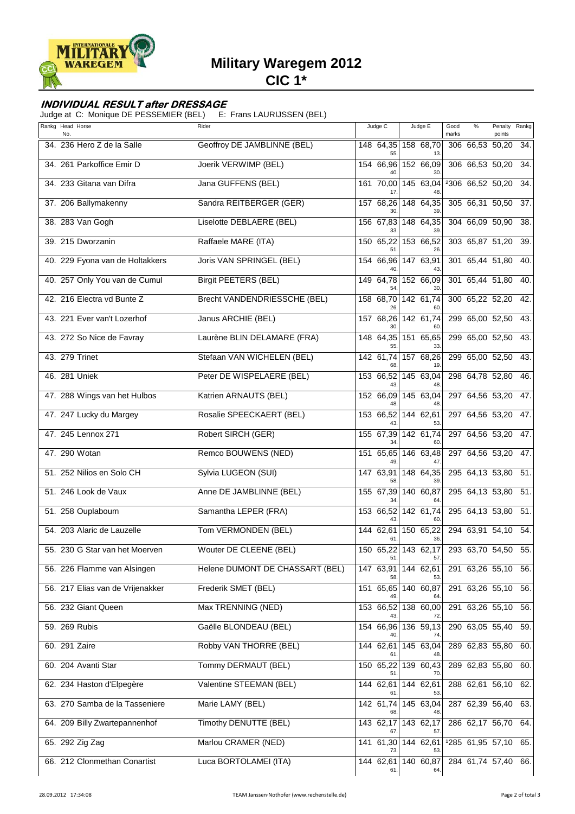

# **Military Waregem 2012**

**CIC 1\***

#### **INDIVIDUAL RESULT after DRESSAGE**

Judge at C: Monique DE PESSEMIER (BEL) E: Frans LAURIJSSEN (BEL)

| Rankg Head Horse<br>No.          | Rider                           | Judge C          | Judge E                    | Good<br>marks | %               | Penalty<br>points   | Rankg |
|----------------------------------|---------------------------------|------------------|----------------------------|---------------|-----------------|---------------------|-------|
| 34. 236 Hero Z de la Salle       | Geoffroy DE JAMBLINNE (BEL)     | 55               | 148 64,35 158 68,70<br>13  |               | 306 66,53 50,20 |                     | 34.   |
| 34. 261 Parkoffice Emir D        | Joerik VERWIMP (BEL)            | 154 66,96        | 152 66,09                  |               | 306 66,53 50,20 |                     | 34.   |
| 34. 233 Gitana van Difra         | Jana GUFFENS (BEL)              | 161 70,00        | 145 63,04                  |               |                 | 2306 66,52 50,20    | 34.   |
| 37. 206 Ballymakenny             | Sandra REITBERGER (GER)         | 157 68,26<br>30  | 148 64,35                  |               |                 | 305 66,31 50,50     | 37.   |
| 38. 283 Van Gogh                 | Liselotte DEBLAERE (BEL)        | 156 67,83        | $148$ 64,35                |               |                 | 304 66,09 50,90     | 38.   |
| 39. 215 Dworzanin                | Raffaele MARE (ITA)             | 150 65,22<br>51  | 153 66,52<br>26.           |               |                 | 303 65,87 51,20     | 39.   |
| 40. 229 Fyona van de Holtakkers  | <b>Joris VAN SPRINGEL (BEL)</b> |                  | 154 66,96 147 63,91        |               |                 | 301 65,44 51,80     | 40.   |
| 40. 257 Only You van de Cumul    | <b>Birgit PEETERS (BEL)</b>     |                  | 149 64,78 152 66,09        |               |                 | 301 65,44 51,80     | 40.   |
| 42. 216 Electra vd Bunte Z       | Brecht VANDENDRIESSCHE (BEL)    | 158 68,70<br>26  | 142 61,74<br>60            |               |                 | 300 65,22 52,20     | 42.   |
| 43. 221 Ever van't Lozerhof      | Janus ARCHIE (BEL)              |                  | 157 68,26 142 61,74<br>60. |               |                 | 299 65,00 52,50     | 43.   |
| 43. 272 So Nice de Favray        | Laurène BLIN DELAMARE (FRA)     | 148 64,35<br>55  | 151 65,65<br>33            |               |                 | 299 65,00 52,50     | 43.   |
| 43. 279 Trinet                   | Stefaan VAN WICHELEN (BEL)      | 142 61.74<br>68  | 157 68,26<br>19            |               |                 | 299 65,00 52,50     | 43.   |
| 46. 281 Uniek                    | Peter DE WISPELAERE (BEL)       | 153 66,52        | 14563,04                   |               |                 | 298 64,78 52,80     | 46.   |
| 47. 288 Wings van het Hulbos     | Katrien ARNAUTS (BEL)           | 152 66,09        | 145 63,04                  |               |                 | 297 64,56 53,20     | 47.   |
| 47. 247 Lucky du Margey          | Rosalie SPEECKAERT (BEL)        | 153 66,52        | 144 62,61<br>53            |               |                 | 297 64,56 53,20     | 47.   |
| 47. 245 Lennox 271               | Robert SIRCH (GER)              | 155 67,39        | 142 61,74                  |               |                 | 297 64,56 53,20     | 47.   |
| 47. 290 Wotan                    | Remco BOUWENS (NED)             | 151 65,65        | 146 63,48                  |               |                 | 297 64,56 53,20     | 47.   |
| 51. 252 Nilios en Solo CH        | Sylvia LUGEON (SUI)             | 147 63,91<br>58  | 148 64,35                  |               |                 | 295 64,13 53,80     | 51.   |
| 51. 246 Look de Vaux             | Anne DE JAMBLINNE (BEL)         |                  | 155 67,39 140 60,87        |               |                 | 295 64,13 53,80     | 51.   |
| 51. 258 Ouplaboum                | Samantha LEPER (FRA)            | 153 66,52<br>43  | 142 61,74<br>60            |               |                 | 295 64,13 53,80     | 51.   |
| 54. 203 Alaric de Lauzelle       | Tom VERMONDEN (BEL)             | 144 62.61<br>61  | 150 65,22<br>36.           |               |                 | 294 63,91 54,10     | 54.   |
| 55. 230 G Star van het Moerven   | Wouter DE CLEENE (BEL)          | 51.              | 150 65,22 143 62,17<br>57. |               |                 | 293 63,70 54,50     | 55.   |
| 56. 226 Flamme van Alsingen      | Helene DUMONT DE CHASSART (BEL) | 58               | 147 63,91 144 62,61<br>53. |               |                 | 291 63,26 55,10 56. |       |
| 56. 217 Elias van de Vrijenakker | Frederik SMET (BEL)             | 151 65,65        | 140 60,87                  |               |                 | 291 63,26 55,10     | 56.   |
| 56. 232 Giant Queen              | Max TRENNING (NED)              |                  | 153 66,52 138 60,00        |               |                 | 291 63,26 55,10 56. |       |
| 59. 269 Rubis                    | Gaëlle BLONDEAU (BEL)           |                  | 154 66,96 136 59,13        |               |                 | 290 63,05 55,40     | 59.   |
| 60. 291 Zaire                    | Robby VAN THORRE (BEL)          | 144 62,61        | 145 63,04                  |               |                 | 289 62,83 55,80     | 60.   |
| 60. 204 Avanti Star              | Tommy DERMAUT (BEL)             | 150 65,22        | 139 60,43                  |               |                 | 289 62,83 55,80     | 60.   |
| 62. 234 Haston d'Elpegère        | Valentine STEEMAN (BEL)         | 144 62,61        | $\overline{144}$ 62,61     |               |                 | 288 62,61 56,10     | 62.   |
| 63. 270 Samba de la Tasseniere   | Marie LAMY (BEL)                | 142 61,74        | 145 63,04                  |               |                 | 287 62,39 56,40     | 63.   |
| 64. 209 Billy Zwartepannenhof    | Timothy DENUTTE (BEL)           | 143 62,17        | 143 62,17<br>57.           |               |                 | 286 62,17 56,70 64. |       |
| 65. 292 Zig Zag                  | Marlou CRAMER (NED)             |                  | 141 61,30 144 62,61        |               |                 | 1285 61,95 57,10    | 65.   |
| 66. 212 Clonmethan Conartist     | Luca BORTOLAMEI (ITA)           | 144 62,61<br>61. | 140 60,87<br>64.           |               |                 | 284 61,74 57,40 66. |       |